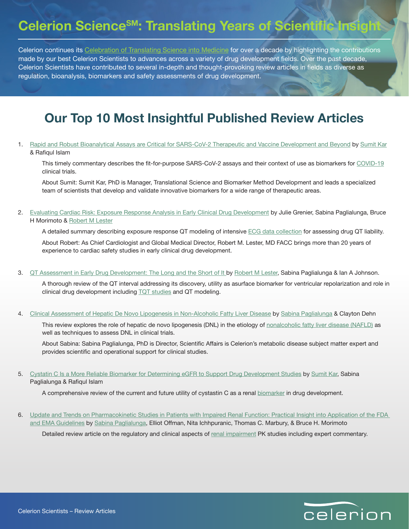## **Celerion ScienceSM: Translating Years of Scientific Insight**

Celerion continues its [Celebration of Translating Science into Medicine](https://www.celerion.com/wp-content/uploads/2020/03/Celerion-Celebrates-a-Decade-of-Translating-Science-into-Medicine.pdf) for over a decade by highlighting the contributions made by our best Celerion Scientists to advances across a variety of drug development fields. Over the past decade, Celerion Scientists have contributed to several in-depth and thought-provoking review articles in fields as diverse as regulation, bioanalysis, biomarkers and safety assessments of drug development.

## **Our Top 10 Most Insightful Published Review Articles**

1. [Rapid and Robust Bioanalytical Assays are Critical for SARS-CoV-2 Therapeutic and Vaccine Development and Beyond](https://www.future-science.com/doi/10.4155/bio-2020-0116) by [Sumit Kar](mailto:sumit.kar%40celerion.com?subject=) & Rafiqul Islam

This timely commentary describes the fit-for-purpose SARS-CoV-2 assays and their context of use as biomarkers for [COVID-19](https://www.celerion.com/covid-19) clinical trials.

About Sumit: Sumit Kar, PhD is Manager, Translational Science and Biomarker Method Development and leads a specialized team of scientists that develop and validate innovative biomarkers for a wide range of therapeutic areas.

2. [Evaluating Cardiac Risk: Exposure Response Analysis in Early Clinical Drug Development](https://www.ncbi.nlm.nih.gov/pmc/articles/PMC5912368/) by Julie Grenier, Sabina Paglialunga, Bruce H Morimoto & [Robert M Lester](mailto:robert.lester%40celerion.com?subject=)

A detailed summary describing exposure response QT modeling of intensive [ECG data collection](https://www.celerion.com/expertise/cardiovascular-safety-studies) for assessing drug QT liability.

About Robert: As Chief Cardiologist and Global Medical Director, Robert M. Lester, MD FACC brings more than 20 years of experience to cardiac safety studies in early clinical drug development.

3. [QT Assessment in Early Drug Development: The Long and the Short of It](https://www.mdpi.com/1422-0067/20/6/1324) by [Robert M Lester](mailto:robert.lester%40celerion.com?subject=), Sabina Paglialunga & Ian A Johnson.

A thorough review of the QT interval addressing its discovery, utility as asurface biomarker for ventricular repolarization and role in clinical drug development including [TQT studies](https://www.celerion.com/expertise/cardiovascular-safety-studies) and QT modeling.

4. [Clinical Assessment of Hepatic De Novo Lipogenesis in Non-Alcoholic Fatty Liver Disease](https://pubmed.ncbi.nlm.nih.gov/27640119/) by [Sabina Paglialunga](mailto:sabina.paglialunga%40celerion.com?subject=) & Clayton Dehn

This review explores the role of hepatic de novo lipogenesis (DNL) in the etiology of [nonalcoholic fatty liver disease \(NAFLD\)](https://www.celerion.com/expertise/therapeutic-areas/metabolic-disease) as well as techniques to assess DNL in clinical trials.

About Sabina: Sabina Paglialunga, PhD is Director, Scientific Affairs is Celerion's metabolic disease subject matter expert and provides scientific and operational support for clinical studies.

5. [Cystatin C Is a More Reliable Biomarker for Determining eGFR to Support Drug Development Studies](https://www.celerion.com/wp-content/uploads/2018/05/052018_Journal-of-Clinical-Pharmacology_Celerion_Cystatin-C-Is-a-More-Reliable-Biomarker-for-Determining-eGFR-to-Support-Drug-Development_F.pdf) by [Sumit Kar](mailto:sumit.kar%40celerion.com?subject=), Sabina Paglialunga & Rafiqul Islam

A comprehensive review of the current and future utility of cystastin C as a renal [biomarker](https://www.celerion.com/services/bioanalytical-sciences/biomarkers) in drug development.

6. [Update and Trends on Pharmacokinetic Studies in Patients with Impaired Renal Function: Practical Insight into Application of the FDA](https://www.celerion.com/wp-content/uploads/2018/10/celerion_update-and-trends-onpharmacokinetic-studies-in-patients-with-impaired-renal-function.pdf)  [and EMA Guidelines](https://www.celerion.com/wp-content/uploads/2018/10/celerion_update-and-trends-onpharmacokinetic-studies-in-patients-with-impaired-renal-function.pdf) by [Sabina Paglialunga](mailto:sabina.paglialunga%40celerion.com?subject=), Elliot Offman, Nita Ichhpuranic, Thomas C. Marbury, & Bruce H. Morimoto

Detailed review article on the regulatory and clinical aspects of [renal impairment](https://www.celerion.com/expertise/renal-hepatic-insufficiency) PK studies including expert commentary.